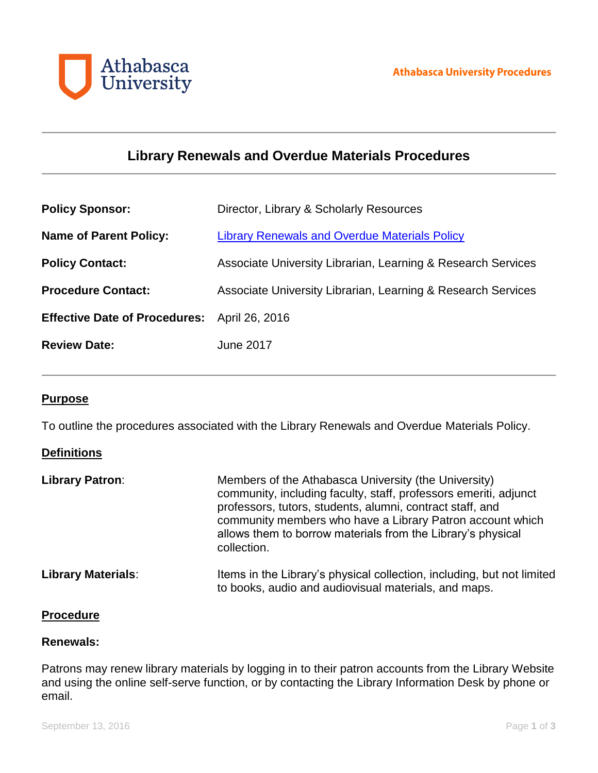

# **Library Renewals and Overdue Materials Procedures**

| <b>Policy Sponsor:</b>                       | Director, Library & Scholarly Resources                      |
|----------------------------------------------|--------------------------------------------------------------|
| <b>Name of Parent Policy:</b>                | <b>Library Renewals and Overdue Materials Policy</b>         |
| <b>Policy Contact:</b>                       | Associate University Librarian, Learning & Research Services |
| <b>Procedure Contact:</b>                    | Associate University Librarian, Learning & Research Services |
| Effective Date of Procedures: April 26, 2016 |                                                              |
| <b>Review Date:</b>                          | <b>June 2017</b>                                             |

## **Purpose**

To outline the procedures associated with the Library Renewals and Overdue Materials Policy.

# **Definitions**

| <b>Library Patron:</b>    | Members of the Athabasca University (the University)<br>community, including faculty, staff, professors emeriti, adjunct<br>professors, tutors, students, alumni, contract staff, and<br>community members who have a Library Patron account which<br>allows them to borrow materials from the Library's physical<br>collection. |
|---------------------------|----------------------------------------------------------------------------------------------------------------------------------------------------------------------------------------------------------------------------------------------------------------------------------------------------------------------------------|
| <b>Library Materials:</b> | Items in the Library's physical collection, including, but not limited<br>to books, audio and audiovisual materials, and maps.                                                                                                                                                                                                   |

## **Procedure**

#### **Renewals:**

Patrons may renew library materials by logging in to their patron accounts from the Library Website and using the online self-serve function, or by contacting the Library Information Desk by phone or email.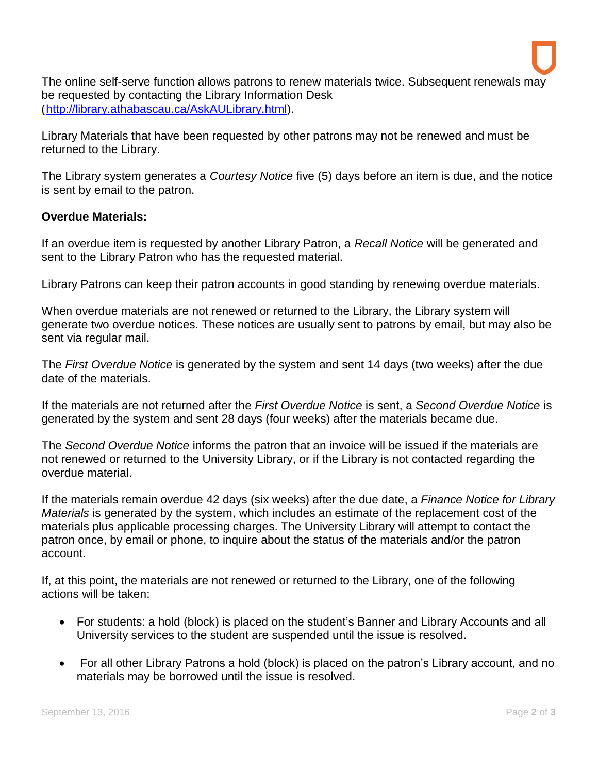The online self-serve function allows patrons to renew materials twice. Subsequent renewals may be requested by contacting the Library Information Desk ([http://library.athabascau.ca/AskAULibrary.html\)](http://library.athabascau.ca/AskAULibrary.html).

Library Materials that have been requested by other patrons may not be renewed and must be returned to the Library.

The Library system generates a *Courtesy Notice* five (5) days before an item is due, and the notice is sent by email to the patron.

# **Overdue Materials:**

If an overdue item is requested by another Library Patron, a *Recall Notice* will be generated and sent to the Library Patron who has the requested material.

Library Patrons can keep their patron accounts in good standing by renewing overdue materials.

When overdue materials are not renewed or returned to the Library, the Library system will generate two overdue notices. These notices are usually sent to patrons by email, but may also be sent via regular mail.

The *First Overdue Notice* is generated by the system and sent 14 days (two weeks) after the due date of the materials.

If the materials are not returned after the *First Overdue Notice* is sent, a *Second Overdue Notice* is generated by the system and sent 28 days (four weeks) after the materials became due.

The *Second Overdue Notice* informs the patron that an invoice will be issued if the materials are not renewed or returned to the University Library, or if the Library is not contacted regarding the overdue material.

If the materials remain overdue 42 days (six weeks) after the due date, a *Finance Notice for Library Materials* is generated by the system, which includes an estimate of the replacement cost of the materials plus applicable processing charges. The University Library will attempt to contact the patron once, by email or phone, to inquire about the status of the materials and/or the patron account.

If, at this point, the materials are not renewed or returned to the Library, one of the following actions will be taken:

- For students: a hold (block) is placed on the student's Banner and Library Accounts and all University services to the student are suspended until the issue is resolved.
- For all other Library Patrons a hold (block) is placed on the patron's Library account, and no materials may be borrowed until the issue is resolved.